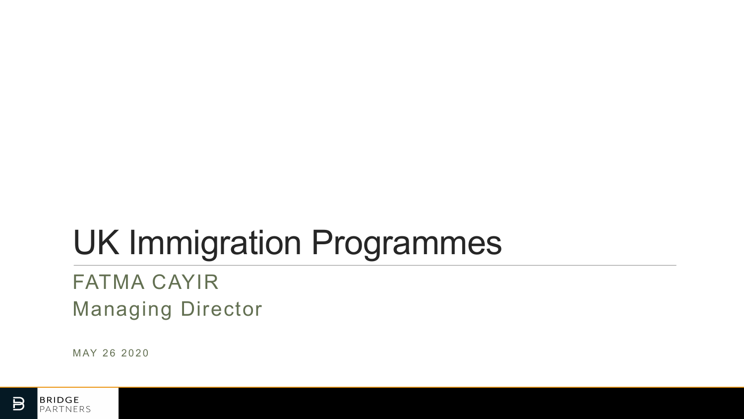# UK Immigration Programmes

## FATMA CAYIR Managing Director

MAY 26 2020

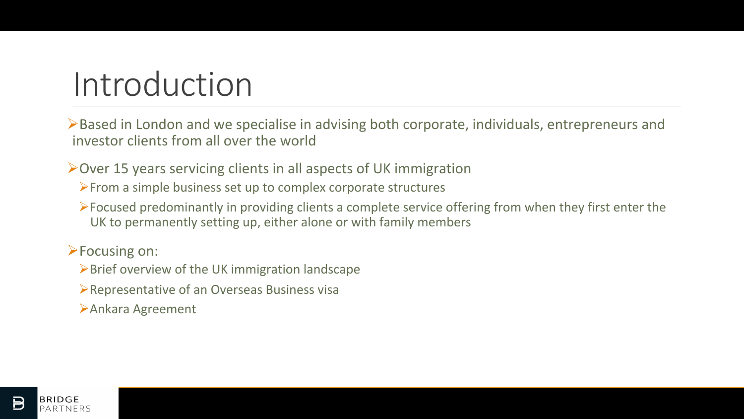## Introduction

 $\triangleright$  Based in London and we specialise in advising both corporate, individuals, entrepreneurs and investor clients from all over the world

 $\triangleright$  Over 15 years servicing clients in all aspects of UK immigration

- $\triangleright$  From a simple business set up to complex corporate structures
- $\triangleright$  Focused predominantly in providing clients a complete service offering from when they first enter the UK to permanently setting up, either alone or with family members

**>Focusing on:** 

- $\triangleright$  Brief overview of the UK immigration landscape
- $\triangleright$  Representative of an Overseas Business visa
- ØAnkara Agreement

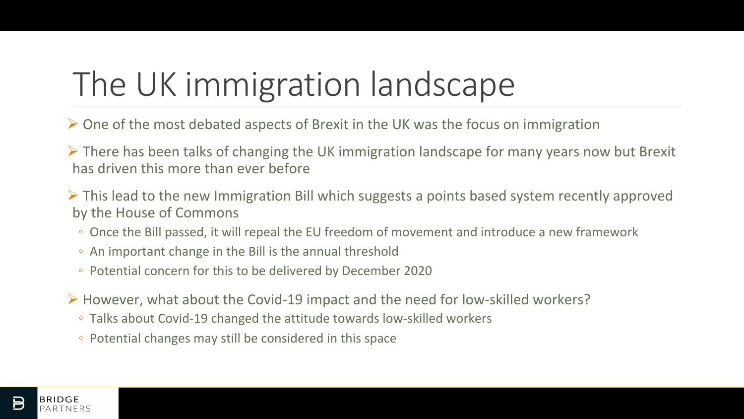# The UK immigration landscape

- $\triangleright$  One of the most debated aspects of Brexit in the UK was the focus on immigration
- $\triangleright$  There has been talks of changing the UK immigration landscape for many years now but Brexit has driven this more than ever before
- $\triangleright$  This lead to the new Immigration Bill which suggests a points based system recently approved by the House of Commons
	- Once the Bill passed, it will repeal the EU freedom of movement and introduce a new framework
	- An important change in the Bill is the annual threshold
	- Potential concern for this to be delivered by December 2020
- $\triangleright$  However, what about the Covid-19 impact and the need for low-skilled workers?
	- Talks about Covid-19 changed the attitude towards low-skilled workers
	- Potential changes may still be considered in this space

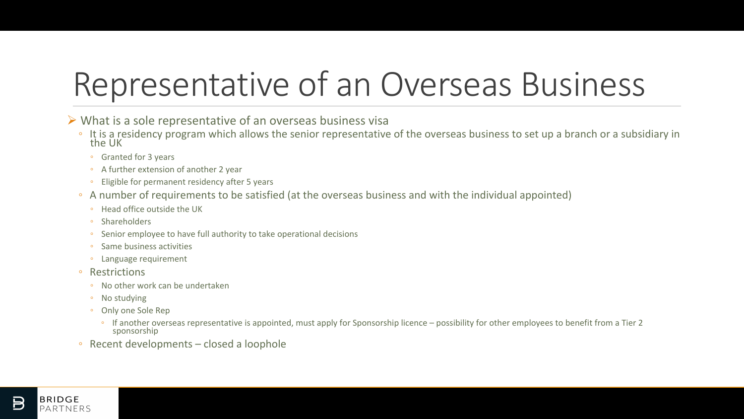## Representative of an Overseas Business

 $\triangleright$  What is a sole representative of an overseas business visa

- It is a residency program which allows the senior representative of the overseas business to set up a branch or a subsidiary in the UK
	- Granted for 3 years
	- A further extension of another 2 year
	- Eligible for permanent residency after 5 years
- A number of requirements to be satisfied (at the overseas business and with the individual appointed)
	- Head office outside the UK
	- Shareholders
	- Senior employee to have full authority to take operational decisions
	- Same business activities
	- Language requirement
- Restrictions
	- No other work can be undertaken
	- No studying
	- Only one Sole Rep
		- If another overseas representative is appointed, must apply for Sponsorship licence possibility for other employees to benefit from a Tier 2 sponsorship
- $\circ$  Recent developments closed a loophole

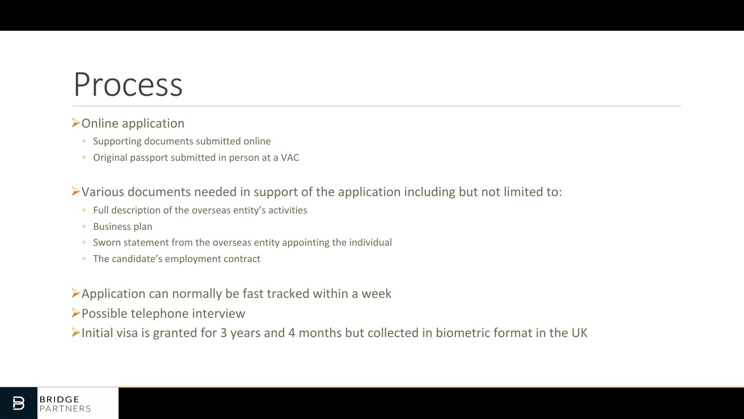## Process

#### $\triangleright$  Online application

- Supporting documents submitted online
- Original passport submitted in person at a VAC

 $\triangleright$  Various documents needed in support of the application including but not limited to:

- Full description of the overseas entity's activities
- Business plan
- Sworn statement from the overseas entity appointing the individual
- The candidate's employment contract
- $\blacktriangleright$  Application can normally be fast tracked within a week
- $\triangleright$  Possible telephone interview
- $\blacktriangleright$ Initial visa is granted for 3 years and 4 months but collected in biometric format in the UK

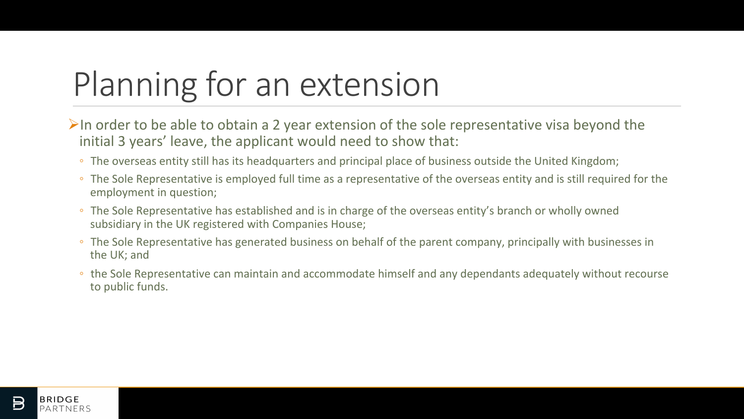## Planning for an extension

- $\triangleright$ In order to be able to obtain a 2 year extension of the sole representative visa beyond the initial 3 years' leave, the applicant would need to show that:
	- The overseas entity still has its headquarters and principal place of business outside the United Kingdom;
	- The Sole Representative is employed full time as a representative of the overseas entity and is still required for the employment in question;
	- The Sole Representative has established and is in charge of the overseas entity's branch or wholly owned subsidiary in the UK registered with Companies House;
	- The Sole Representative has generated business on behalf of the parent company, principally with businesses in the UK; and
	- the Sole Representative can maintain and accommodate himself and any dependants adequately without recourse to public funds.

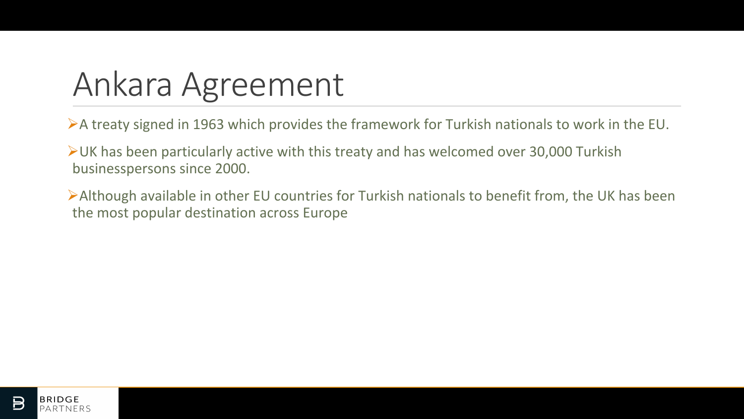## Ankara Agreement

 $\triangleright$  A treaty signed in 1963 which provides the framework for Turkish nationals to work in the EU.

 $\triangleright$  UK has been particularly active with this treaty and has welcomed over 30,000 Turkish businesspersons since 2000.

 $\triangleright$  Although available in other EU countries for Turkish nationals to benefit from, the UK has been the most popular destination across Europe

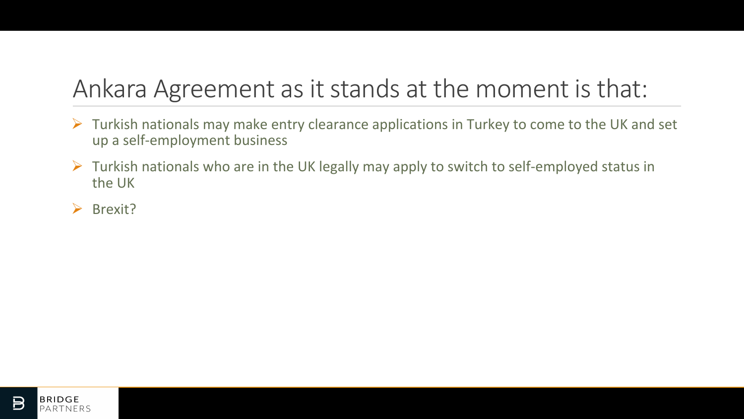## Ankara Agreement as it stands at the moment is that:

- $\triangleright$  Turkish nationals may make entry clearance applications in Turkey to come to the UK and set up a self-employment business
- $\triangleright$  Turkish nationals who are in the UK legally may apply to switch to self-employed status in the UK
- $\triangleright$  Brexit?

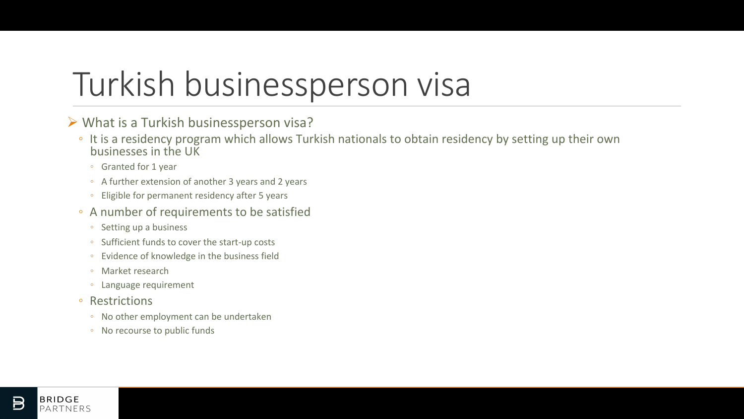## Turkish businessperson visa

### $\triangleright$  What is a Turkish businessperson visa?

- It is a residency program which allows Turkish nationals to obtain residency by setting up their own businesses in the UK
	- Granted for 1 year
	- A further extension of another 3 years and 2 years
	- Eligible for permanent residency after 5 years
- A number of requirements to be satisfied
	- Setting up a business
	- Sufficient funds to cover the start-up costs
	- Evidence of knowledge in the business field
	- Market research
	- Language requirement
- Restrictions
	- No other employment can be undertaken
	- No recourse to public funds

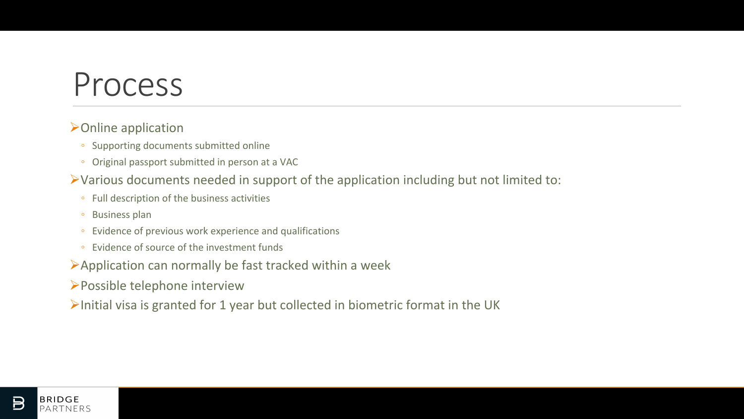## Process

### $\triangleright$  Online application

- Supporting documents submitted online
- Original passport submitted in person at a VAC

### $\triangleright$  Various documents needed in support of the application including but not limited to:

- Full description of the business activities
- Business plan
- Evidence of previous work experience and qualifications
- Evidence of source of the investment funds
- $\blacktriangleright$  Application can normally be fast tracked within a week
- $\triangleright$  Possible telephone interview
- $\triangleright$ Initial visa is granted for 1 year but collected in biometric format in the UK

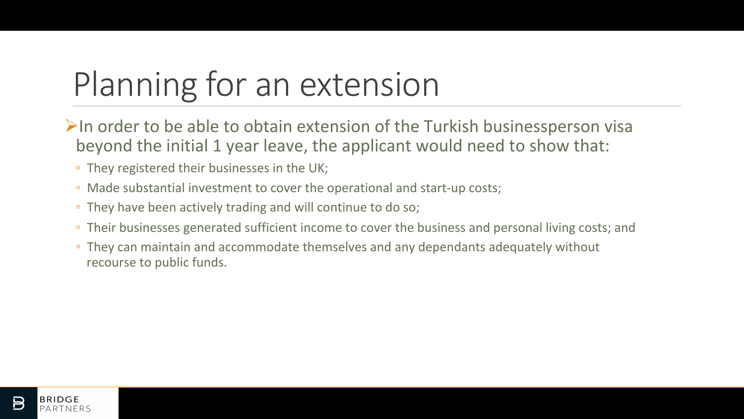# Planning for an extension

- $\triangleright$ In order to be able to obtain extension of the Turkish businessperson visa beyond the initial 1 year leave, the applicant would need to show that:
	- They registered their businesses in the UK;
	- Made substantial investment to cover the operational and start-up costs;
	- They have been actively trading and will continue to do so;
	- Their businesses generated sufficient income to cover the business and personal living costs; and
	- They can maintain and accommodate themselves and any dependants adequately without recourse to public funds.